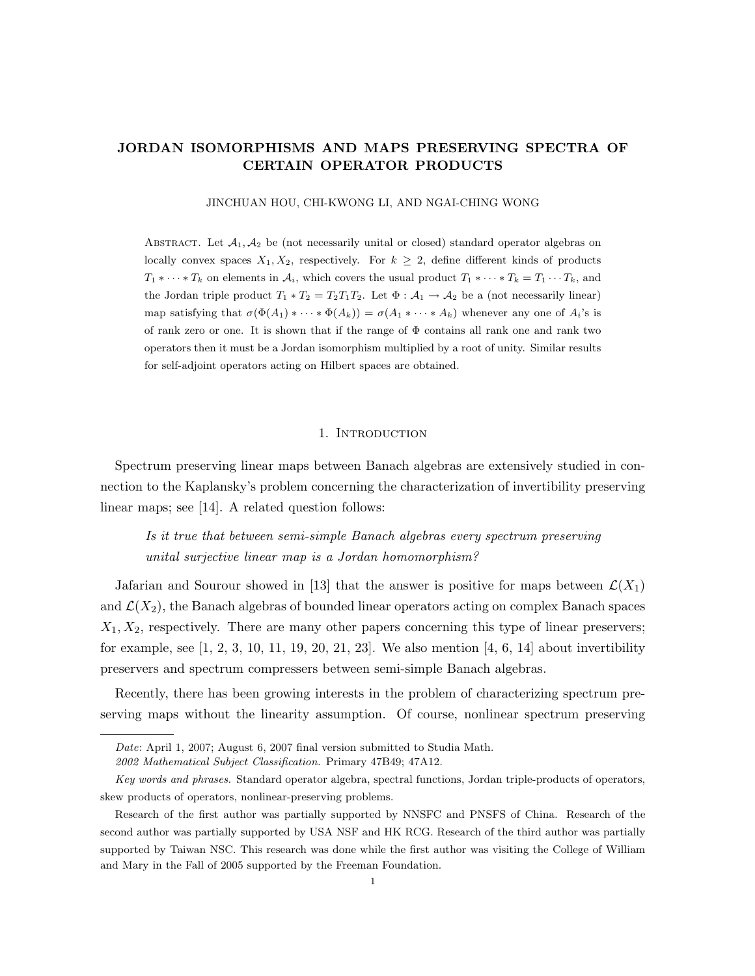# JORDAN ISOMORPHISMS AND MAPS PRESERVING SPECTRA OF CERTAIN OPERATOR PRODUCTS

#### JINCHUAN HOU, CHI-KWONG LI, AND NGAI-CHING WONG

ABSTRACT. Let  $A_1, A_2$  be (not necessarily unital or closed) standard operator algebras on locally convex spaces  $X_1, X_2$ , respectively. For  $k \geq 2$ , define different kinds of products  $T_1 * \cdots * T_k$  on elements in  $\mathcal{A}_i$ , which covers the usual product  $T_1 * \cdots * T_k = T_1 \cdots T_k$ , and the Jordan triple product  $T_1 * T_2 = T_2 T_1 T_2$ . Let  $\Phi : A_1 \to A_2$  be a (not necessarily linear) map satisfying that  $\sigma(\Phi(A_1) * \cdots * \Phi(A_k)) = \sigma(A_1 * \cdots * A_k)$  whenever any one of  $A_i$ 's is of rank zero or one. It is shown that if the range of  $\Phi$  contains all rank one and rank two operators then it must be a Jordan isomorphism multiplied by a root of unity. Similar results for self-adjoint operators acting on Hilbert spaces are obtained.

## 1. INTRODUCTION

Spectrum preserving linear maps between Banach algebras are extensively studied in connection to the Kaplansky's problem concerning the characterization of invertibility preserving linear maps; see [14]. A related question follows:

Is it true that between semi-simple Banach algebras every spectrum preserving unital surjective linear map is a Jordan homomorphism?

Jafarian and Sourour showed in [13] that the answer is positive for maps between  $\mathcal{L}(X_1)$ and  $\mathcal{L}(X_2)$ , the Banach algebras of bounded linear operators acting on complex Banach spaces  $X_1, X_2$ , respectively. There are many other papers concerning this type of linear preservers; for example, see  $[1, 2, 3, 10, 11, 19, 20, 21, 23]$ . We also mention  $[4, 6, 14]$  about invertibility preservers and spectrum compressers between semi-simple Banach algebras.

Recently, there has been growing interests in the problem of characterizing spectrum preserving maps without the linearity assumption. Of course, nonlinear spectrum preserving

Date: April 1, 2007; August 6, 2007 final version submitted to Studia Math.

<sup>2002</sup> Mathematical Subject Classification. Primary 47B49; 47A12.

Key words and phrases. Standard operator algebra, spectral functions, Jordan triple-products of operators, skew products of operators, nonlinear-preserving problems.

Research of the first author was partially supported by NNSFC and PNSFS of China. Research of the second author was partially supported by USA NSF and HK RCG. Research of the third author was partially supported by Taiwan NSC. This research was done while the first author was visiting the College of William and Mary in the Fall of 2005 supported by the Freeman Foundation.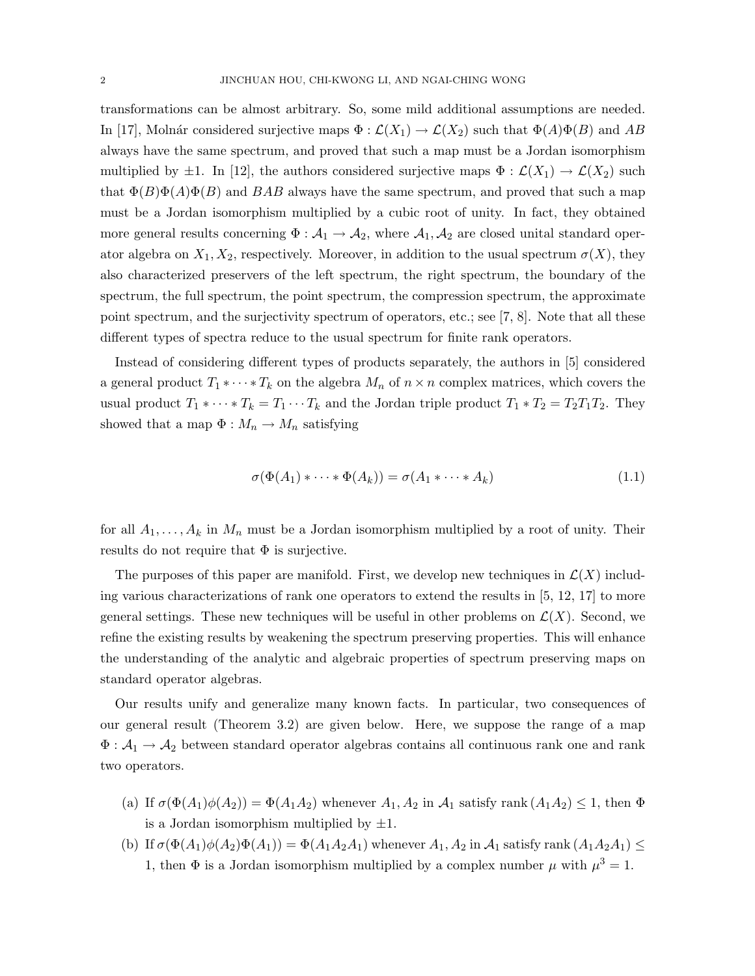transformations can be almost arbitrary. So, some mild additional assumptions are needed. In [17], Molnár considered surjective maps  $\Phi : \mathcal{L}(X_1) \to \mathcal{L}(X_2)$  such that  $\Phi(A)\Phi(B)$  and AB always have the same spectrum, and proved that such a map must be a Jordan isomorphism multiplied by  $\pm 1$ . In [12], the authors considered surjective maps  $\Phi : \mathcal{L}(X_1) \to \mathcal{L}(X_2)$  such that  $\Phi(B)\Phi(A)\Phi(B)$  and BAB always have the same spectrum, and proved that such a map must be a Jordan isomorphism multiplied by a cubic root of unity. In fact, they obtained more general results concerning  $\Phi: A_1 \to A_2$ , where  $A_1, A_2$  are closed unital standard operator algebra on  $X_1, X_2$ , respectively. Moreover, in addition to the usual spectrum  $\sigma(X)$ , they also characterized preservers of the left spectrum, the right spectrum, the boundary of the spectrum, the full spectrum, the point spectrum, the compression spectrum, the approximate point spectrum, and the surjectivity spectrum of operators, etc.; see [7, 8]. Note that all these different types of spectra reduce to the usual spectrum for finite rank operators.

Instead of considering different types of products separately, the authors in [5] considered a general product  $T_1 * \cdots * T_k$  on the algebra  $M_n$  of  $n \times n$  complex matrices, which covers the usual product  $T_1 * \cdots * T_k = T_1 \cdots T_k$  and the Jordan triple product  $T_1 * T_2 = T_2 T_1 T_2$ . They showed that a map  $\Phi : M_n \to M_n$  satisfying

$$
\sigma(\Phi(A_1) * \cdots * \Phi(A_k)) = \sigma(A_1 * \cdots * A_k)
$$
\n(1.1)

for all  $A_1, \ldots, A_k$  in  $M_n$  must be a Jordan isomorphism multiplied by a root of unity. Their results do not require that  $\Phi$  is surjective.

The purposes of this paper are manifold. First, we develop new techniques in  $\mathcal{L}(X)$  including various characterizations of rank one operators to extend the results in [5, 12, 17] to more general settings. These new techniques will be useful in other problems on  $\mathcal{L}(X)$ . Second, we refine the existing results by weakening the spectrum preserving properties. This will enhance the understanding of the analytic and algebraic properties of spectrum preserving maps on standard operator algebras.

Our results unify and generalize many known facts. In particular, two consequences of our general result (Theorem 3.2) are given below. Here, we suppose the range of a map  $\Phi: \mathcal{A}_1 \to \mathcal{A}_2$  between standard operator algebras contains all continuous rank one and rank two operators.

- (a) If  $\sigma(\Phi(A_1)\phi(A_2)) = \Phi(A_1A_2)$  whenever  $A_1, A_2$  in  $A_1$  satisfy rank  $(A_1A_2) \leq 1$ , then  $\Phi$ is a Jordan isomorphism multiplied by  $\pm 1$ .
- (b) If  $\sigma(\Phi(A_1)\phi(A_2)\Phi(A_1)) = \Phi(A_1A_2A_1)$  whenever  $A_1, A_2$  in  $A_1$  satisfy rank  $(A_1A_2A_1) \leq$ 1, then  $\Phi$  is a Jordan isomorphism multiplied by a complex number  $\mu$  with  $\mu^3 = 1$ .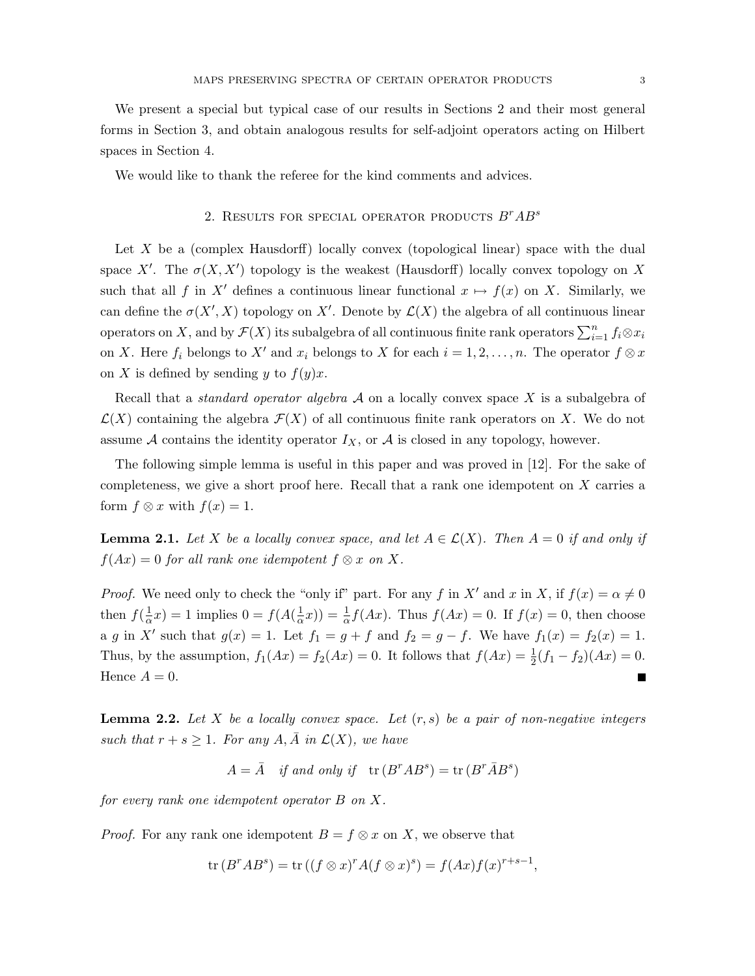We present a special but typical case of our results in Sections 2 and their most general forms in Section 3, and obtain analogous results for self-adjoint operators acting on Hilbert spaces in Section 4.

We would like to thank the referee for the kind comments and advices.

## 2. RESULTS FOR SPECIAL OPERATOR PRODUCTS  $B^rAB^s$

Let  $X$  be a (complex Hausdorff) locally convex (topological linear) space with the dual space X'. The  $\sigma(X, X')$  topology is the weakest (Hausdorff) locally convex topology on X such that all f in X' defines a continuous linear functional  $x \mapsto f(x)$  on X. Similarly, we can define the  $\sigma(X', X)$  topology on X'. Denote by  $\mathcal{L}(X)$  the algebra of all continuous linear operators on X, and by  $\mathcal{F}(X)$  its subalgebra of all continuous finite rank operators  $\sum_{i=1}^{n} f_i \otimes x_i$ on X. Here  $f_i$  belongs to X' and  $x_i$  belongs to X for each  $i = 1, 2, ..., n$ . The operator  $f \otimes x$ on X is defined by sending y to  $f(y)x$ .

Recall that a *standard operator algebra*  $A$  on a locally convex space  $X$  is a subalgebra of  $\mathcal{L}(X)$  containing the algebra  $\mathcal{F}(X)$  of all continuous finite rank operators on X. We do not assume  $A$  contains the identity operator  $I_X$ , or  $A$  is closed in any topology, however.

The following simple lemma is useful in this paper and was proved in [12]. For the sake of completeness, we give a short proof here. Recall that a rank one idempotent on X carries a form  $f \otimes x$  with  $f(x) = 1$ .

**Lemma 2.1.** Let X be a locally convex space, and let  $A \in \mathcal{L}(X)$ . Then  $A = 0$  if and only if  $f(Ax) = 0$  for all rank one idempotent  $f \otimes x$  on X.

*Proof.* We need only to check the "only if" part. For any f in X' and x in X, if  $f(x) = \alpha \neq 0$ then  $f(\frac{1}{\alpha})$  $\frac{1}{\alpha}x$ ) = 1 implies 0 =  $f(A(\frac{1}{\alpha}))$  $(\frac{1}{\alpha}x)) = \frac{1}{\alpha}f(Ax)$ . Thus  $f(Ax) = 0$ . If  $f(x) = 0$ , then choose a g in X' such that  $g(x) = 1$ . Let  $f_1 = g + f$  and  $f_2 = g - f$ . We have  $f_1(x) = f_2(x) = 1$ . Thus, by the assumption,  $f_1(Ax) = f_2(Ax) = 0$ . It follows that  $f(Ax) = \frac{1}{2}(f_1 - f_2)(Ax) = 0$ . Hence  $A = 0$ .  $\blacksquare$ 

**Lemma 2.2.** Let X be a locally convex space. Let  $(r, s)$  be a pair of non-negative integers such that  $r + s \geq 1$ . For any  $A, \overline{A}$  in  $\mathcal{L}(X)$ , we have

$$
A = \overline{A}
$$
 if and only if  $tr(B^rAB^s) = tr(B^r\overline{A}B^s)$ 

for every rank one idempotent operator B on X.

*Proof.* For any rank one idempotent  $B = f \otimes x$  on X, we observe that

$$
\operatorname{tr}(B^rAB^s) = \operatorname{tr}((f \otimes x)^r A (f \otimes x)^s) = f(Ax)f(x)^{r+s-1},
$$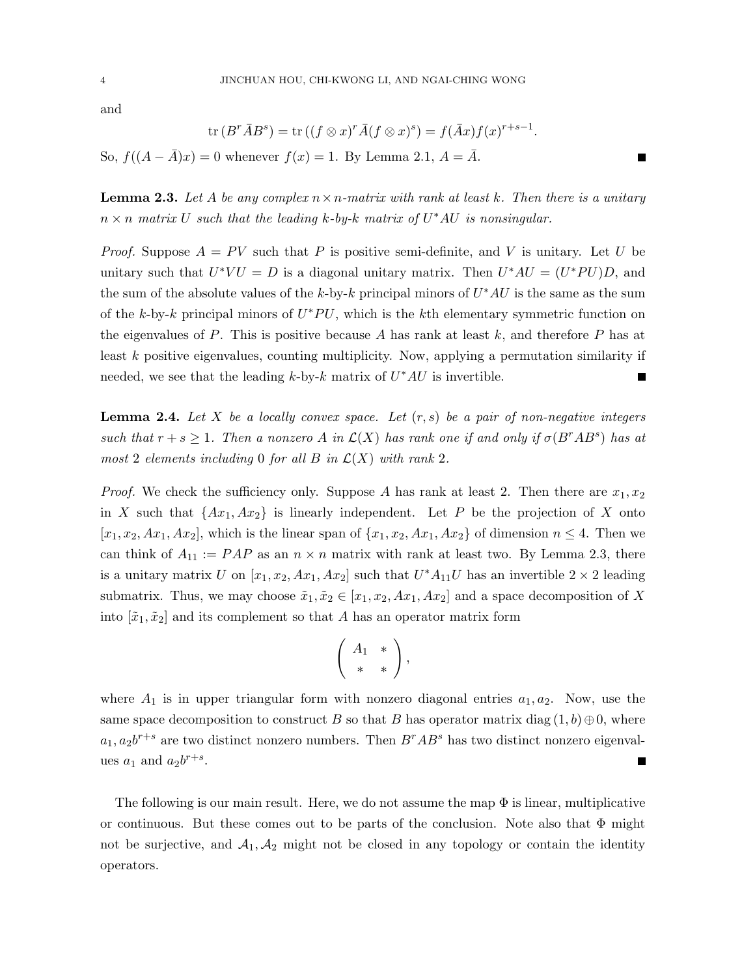and

$$
\operatorname{tr}(B^r\bar{A}B^s) = \operatorname{tr}\left((f\otimes x)^r\bar{A}(f\otimes x)^s\right) = f(\bar{A}x)f(x)^{r+s-1}.
$$

П

So,  $f((A - \overline{A})x) = 0$  whenever  $f(x) = 1$ . By Lemma 2.1,  $A = \overline{A}$ .

**Lemma 2.3.** Let A be any complex  $n \times n$ -matrix with rank at least k. Then there is a unitary  $n \times n$  matrix U such that the leading k-by-k matrix of  $U^*AU$  is nonsingular.

*Proof.* Suppose  $A = PV$  such that P is positive semi-definite, and V is unitary. Let U be unitary such that  $U^*VU = D$  is a diagonal unitary matrix. Then  $U^*AU = (U^*PU)D$ , and the sum of the absolute values of the k-by-k principal minors of  $U^*AU$  is the same as the sum of the k-by-k principal minors of  $U^*PU$ , which is the kth elementary symmetric function on the eigenvalues of  $P$ . This is positive because  $A$  has rank at least  $k$ , and therefore  $P$  has at least k positive eigenvalues, counting multiplicity. Now, applying a permutation similarity if needed, we see that the leading  $k$ -by- $k$  matrix of  $U^*AU$  is invertible.

**Lemma 2.4.** Let X be a locally convex space. Let  $(r, s)$  be a pair of non-negative integers such that  $r + s \geq 1$ . Then a nonzero A in  $\mathcal{L}(X)$  has rank one if and only if  $\sigma(B^rAB^s)$  has at most 2 elements including 0 for all B in  $\mathcal{L}(X)$  with rank 2.

*Proof.* We check the sufficiency only. Suppose A has rank at least 2. Then there are  $x_1, x_2$ in X such that  $\{Ax_1, Ax_2\}$  is linearly independent. Let P be the projection of X onto  $[x_1, x_2, Ax_1, Ax_2]$ , which is the linear span of  $\{x_1, x_2, Ax_1, Ax_2\}$  of dimension  $n \leq 4$ . Then we can think of  $A_{11} := PAP$  as an  $n \times n$  matrix with rank at least two. By Lemma 2.3, there is a unitary matrix U on  $[x_1, x_2, Ax_1, Ax_2]$  such that  $U^*A_{11}U$  has an invertible  $2 \times 2$  leading submatrix. Thus, we may choose  $\tilde{x}_1, \tilde{x}_2 \in [x_1, x_2, Ax_1, Ax_2]$  and a space decomposition of X into  $[\tilde{x}_1, \tilde{x}_2]$  and its complement so that A has an operator matrix form

$$
\left(\begin{array}{cc} A_1 & * \\ * & * \end{array}\right),
$$

where  $A_1$  is in upper triangular form with nonzero diagonal entries  $a_1, a_2$ . Now, use the same space decomposition to construct B so that B has operator matrix diag  $(1, b) \oplus 0$ , where  $a_1, a_2b^{r+s}$  are two distinct nonzero numbers. Then  $B^rAB^s$  has two distinct nonzero eigenvalues  $a_1$  and  $a_2b^{r+s}$ .

The following is our main result. Here, we do not assume the map  $\Phi$  is linear, multiplicative or continuous. But these comes out to be parts of the conclusion. Note also that  $\Phi$  might not be surjective, and  $A_1, A_2$  might not be closed in any topology or contain the identity operators.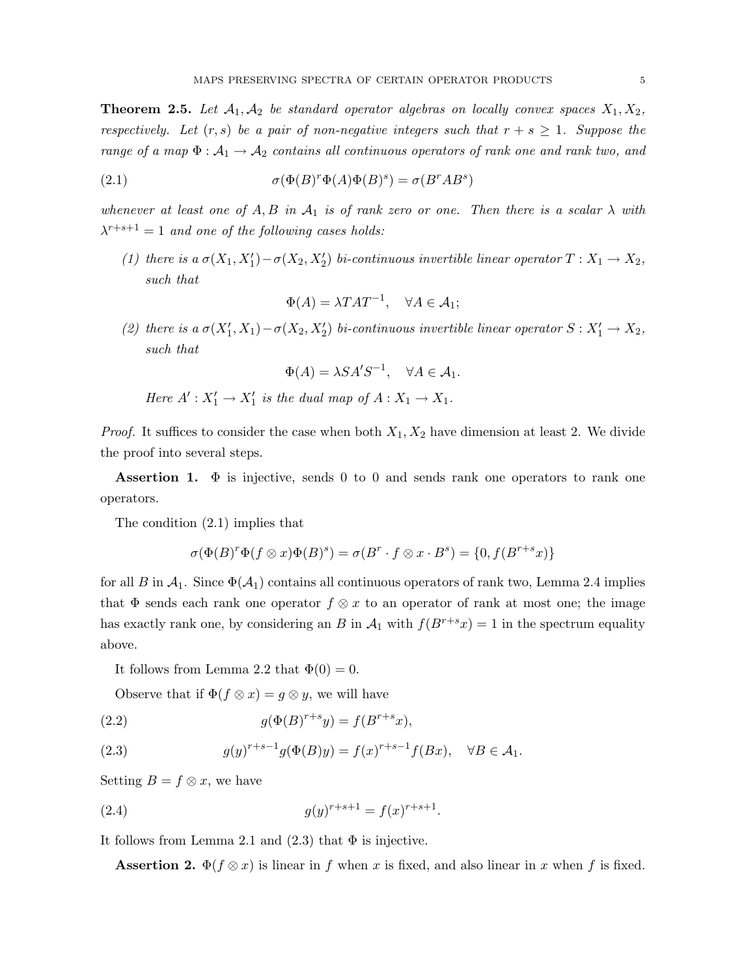**Theorem 2.5.** Let  $A_1, A_2$  be standard operator algebras on locally convex spaces  $X_1, X_2$ , respectively. Let  $(r, s)$  be a pair of non-negative integers such that  $r + s \geq 1$ . Suppose the range of a map  $\Phi: \mathcal{A}_1 \to \mathcal{A}_2$  contains all continuous operators of rank one and rank two, and

(2.1) 
$$
\sigma(\Phi(B)^r \Phi(A) \Phi(B)^s) = \sigma(B^r AB^s)
$$

whenever at least one of A, B in  $\mathcal{A}_1$  is of rank zero or one. Then there is a scalar  $\lambda$  with  $\lambda^{r+s+1} = 1$  and one of the following cases holds:

(1) there is a  $\sigma(X_1, X_1') - \sigma(X_2, X_2')$  bi-continuous invertible linear operator  $T : X_1 \to X_2$ , such that

$$
\Phi(A) = \lambda T A T^{-1}, \quad \forall A \in \mathcal{A}_1;
$$

(2) there is a  $\sigma(X'_1, X_1) - \sigma(X_2, X'_2)$  bi-continuous invertible linear operator  $S: X'_1 \to X_2$ , such that

$$
\Phi(A) = \lambda S A' S^{-1}, \quad \forall A \in \mathcal{A}_1.
$$

Here  $A' : X'_1 \to X'_1$  is the dual map of  $A : X_1 \to X_1$ .

*Proof.* It suffices to consider the case when both  $X_1, X_2$  have dimension at least 2. We divide the proof into several steps.

**Assertion 1.**  $\Phi$  is injective, sends 0 to 0 and sends rank one operators to rank one operators.

The condition (2.1) implies that

$$
\sigma(\Phi(B)^r \Phi(f \otimes x) \Phi(B)^s) = \sigma(B^r \cdot f \otimes x \cdot B^s) = \{0, f(B^{r+s} x)\}\
$$

for all B in  $\mathcal{A}_1$ . Since  $\Phi(\mathcal{A}_1)$  contains all continuous operators of rank two, Lemma 2.4 implies that  $\Phi$  sends each rank one operator  $f \otimes x$  to an operator of rank at most one; the image has exactly rank one, by considering an B in  $\mathcal{A}_1$  with  $f(B^{r+s}x) = 1$  in the spectrum equality above.

It follows from Lemma 2.2 that  $\Phi(0) = 0$ .

Observe that if  $\Phi(f \otimes x) = g \otimes y$ , we will have

(2.2) 
$$
g(\Phi(B)^{r+s}y) = f(B^{r+s}x),
$$

(2.3) 
$$
g(y)^{r+s-1}g(\Phi(B)y) = f(x)^{r+s-1}f(Bx), \quad \forall B \in \mathcal{A}_1.
$$

Setting  $B = f \otimes x$ , we have

(2.4) 
$$
g(y)^{r+s+1} = f(x)^{r+s+1}.
$$

It follows from Lemma 2.1 and  $(2.3)$  that  $\Phi$  is injective.

**Assertion 2.**  $\Phi(f \otimes x)$  is linear in f when x is fixed, and also linear in x when f is fixed.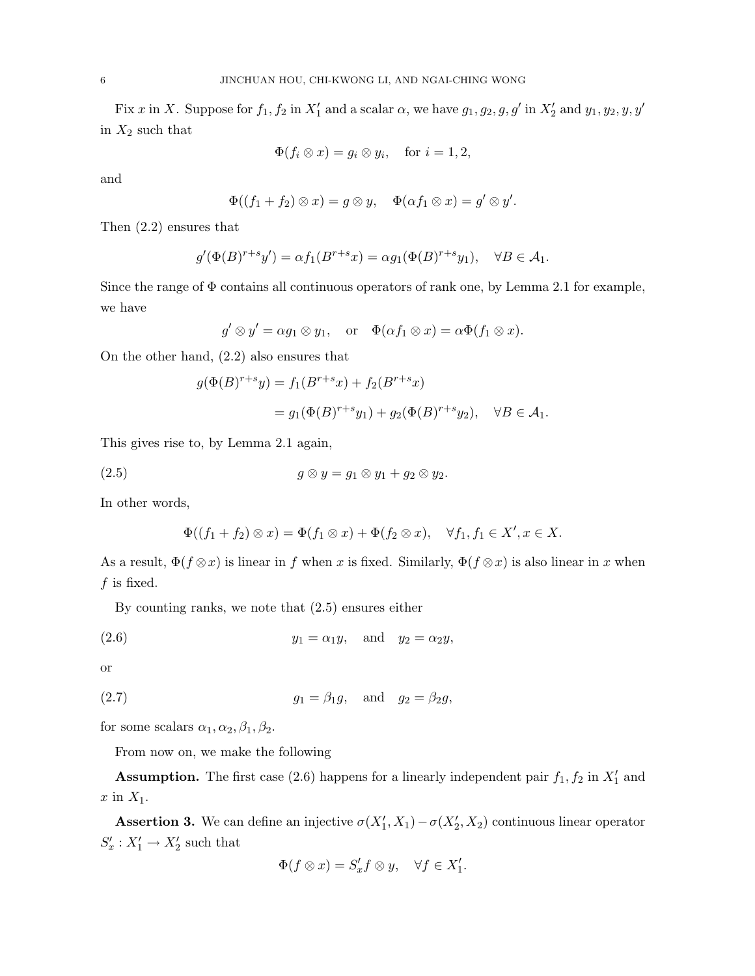Fix x in X. Suppose for  $f_1, f_2$  in  $X'_1$  and a scalar  $\alpha$ , we have  $g_1, g_2, g, g'$  in  $X'_2$  and  $y_1, y_2, y, y'$ in  $X_2$  such that

$$
\Phi(f_i \otimes x) = g_i \otimes y_i, \quad \text{for } i = 1, 2,
$$

and

$$
\Phi((f_1+f_2)\otimes x)=g\otimes y,\quad \Phi(\alpha f_1\otimes x)=g'\otimes y'.
$$

Then (2.2) ensures that

$$
g'(\Phi(B)^{r+s}y') = \alpha f_1(B^{r+s}x) = \alpha g_1(\Phi(B)^{r+s}y_1), \quad \forall B \in \mathcal{A}_1.
$$

Since the range of  $\Phi$  contains all continuous operators of rank one, by Lemma 2.1 for example, we have

$$
g' \otimes y' = \alpha g_1 \otimes y_1
$$
, or  $\Phi(\alpha f_1 \otimes x) = \alpha \Phi(f_1 \otimes x)$ .

On the other hand, (2.2) also ensures that

$$
g(\Phi(B)^{r+s}y) = f_1(B^{r+s}x) + f_2(B^{r+s}x)
$$
  
=  $g_1(\Phi(B)^{r+s}y_1) + g_2(\Phi(B)^{r+s}y_2), \quad \forall B \in \mathcal{A}_1.$ 

This gives rise to, by Lemma 2.1 again,

$$
(2.5) \t\t\t g \otimes y = g_1 \otimes y_1 + g_2 \otimes y_2.
$$

In other words,

$$
\Phi((f_1+f_2)\otimes x)=\Phi(f_1\otimes x)+\Phi(f_2\otimes x),\quad \forall f_1,f_1\in X', x\in X.
$$

As a result,  $\Phi(f \otimes x)$  is linear in f when x is fixed. Similarly,  $\Phi(f \otimes x)$  is also linear in x when  $f$  is fixed.

By counting ranks, we note that (2.5) ensures either

$$
(2.6) \t\t y_1 = \alpha_1 y, \quad \text{and} \quad y_2 = \alpha_2 y,
$$

or

$$
(2.7) \t\t\t g_1 = \beta_1 g, \quad \text{and} \quad g_2 = \beta_2 g,
$$

for some scalars  $\alpha_1, \alpha_2, \beta_1, \beta_2$ .

From now on, we make the following

**Assumption.** The first case (2.6) happens for a linearly independent pair  $f_1$ ,  $f_2$  in  $X'_1$  and  $x$  in  $X_1$ .

**Assertion 3.** We can define an injective  $\sigma(X'_1, X_1) - \sigma(X'_2, X_2)$  continuous linear operator  $S'_x : X'_1 \to X'_2$  such that

$$
\Phi(f \otimes x) = S'_x f \otimes y, \quad \forall f \in X'_1.
$$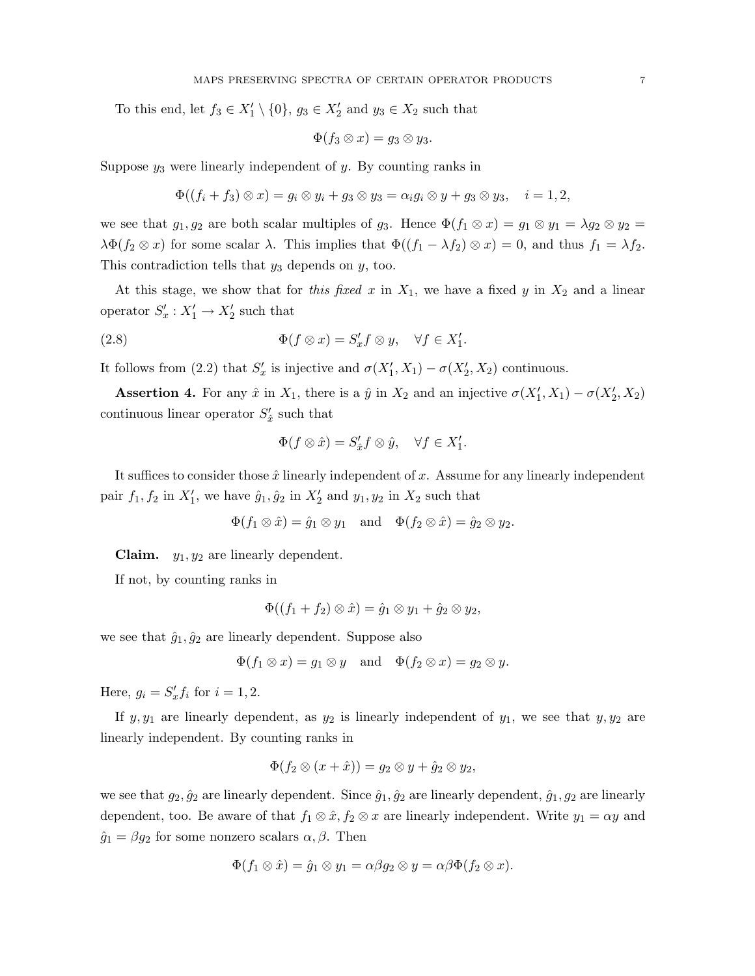To this end, let  $f_3 \in X'_1 \setminus \{0\}$ ,  $g_3 \in X'_2$  and  $y_3 \in X_2$  such that

$$
\Phi(f_3\otimes x)=g_3\otimes y_3.
$$

Suppose  $y_3$  were linearly independent of  $y$ . By counting ranks in

$$
\Phi((f_i+f_3)\otimes x)=g_i\otimes y_i+g_3\otimes y_3=\alpha_ig_i\otimes y+g_3\otimes y_3,\quad i=1,2,
$$

we see that  $g_1, g_2$  are both scalar multiples of  $g_3$ . Hence  $\Phi(f_1 \otimes x) = g_1 \otimes y_1 = \lambda g_2 \otimes y_2 =$  $\lambda \Phi(f_2 \otimes x)$  for some scalar  $\lambda$ . This implies that  $\Phi((f_1 - \lambda f_2) \otimes x) = 0$ , and thus  $f_1 = \lambda f_2$ . This contradiction tells that  $y_3$  depends on  $y$ , too.

At this stage, we show that for this fixed x in  $X_1$ , we have a fixed y in  $X_2$  and a linear operator  $S'_x : X'_1 \to X'_2$  such that

(2.8) 
$$
\Phi(f \otimes x) = S'_x f \otimes y, \quad \forall f \in X'_1.
$$

It follows from (2.2) that  $S'_x$  is injective and  $\sigma(X'_1, X_1) - \sigma(X'_2, X_2)$  continuous.

**Assertion 4.** For any  $\hat{x}$  in  $X_1$ , there is a  $\hat{y}$  in  $X_2$  and an injective  $\sigma(X'_1, X_1) - \sigma(X'_2, X_2)$ continuous linear operator  $S'_{\hat{x}}$  such that

$$
\Phi(f \otimes \hat{x}) = S_{\hat{x}}' f \otimes \hat{y}, \quad \forall f \in X_1'.
$$

It suffices to consider those  $\hat{x}$  linearly independent of x. Assume for any linearly independent pair  $f_1, f_2$  in  $X'_1$ , we have  $\hat{g}_1, \hat{g}_2$  in  $X'_2$  and  $y_1, y_2$  in  $X_2$  such that

$$
\Phi(f_1 \otimes \hat{x}) = \hat{g}_1 \otimes y_1
$$
 and  $\Phi(f_2 \otimes \hat{x}) = \hat{g}_2 \otimes y_2$ .

**Claim.**  $y_1, y_2$  are linearly dependent.

If not, by counting ranks in

$$
\Phi((f_1+f_2)\otimes\hat x)=\hat g_1\otimes y_1+\hat g_2\otimes y_2,
$$

we see that  $\hat{g}_1, \hat{g}_2$  are linearly dependent. Suppose also

$$
\Phi(f_1 \otimes x) = g_1 \otimes y \quad \text{and} \quad \Phi(f_2 \otimes x) = g_2 \otimes y.
$$

Here,  $g_i = S'_x f_i$  for  $i = 1, 2$ .

If  $y, y_1$  are linearly dependent, as  $y_2$  is linearly independent of  $y_1$ , we see that  $y, y_2$  are linearly independent. By counting ranks in

$$
\Phi(f_2\otimes (x+\hat x))=g_2\otimes y+\hat g_2\otimes y_2,
$$

we see that  $g_2, \hat{g}_2$  are linearly dependent. Since  $\hat{g}_1, \hat{g}_2$  are linearly dependent,  $\hat{g}_1, g_2$  are linearly dependent, too. Be aware of that  $f_1 \otimes \hat{x}, f_2 \otimes x$  are linearly independent. Write  $y_1 = \alpha y$  and  $\hat{g}_1 = \beta g_2$  for some nonzero scalars  $\alpha, \beta$ . Then

$$
\Phi(f_1 \otimes \hat{x}) = \hat{g}_1 \otimes y_1 = \alpha \beta g_2 \otimes y = \alpha \beta \Phi(f_2 \otimes x).
$$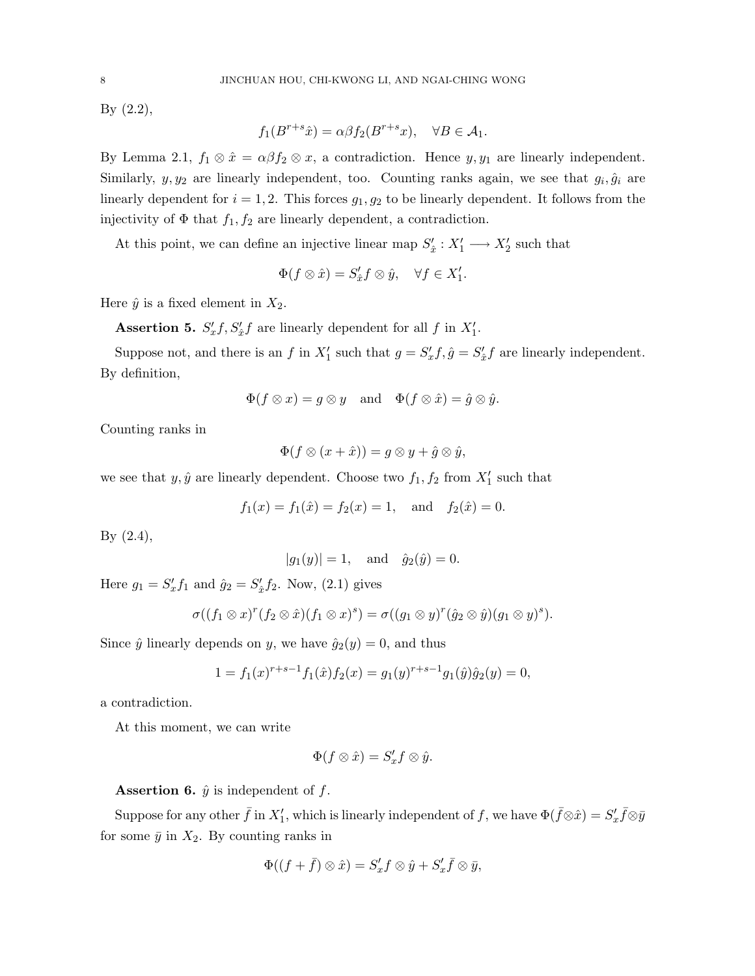By (2.2),

$$
f_1(B^{r+s}\hat{x}) = \alpha \beta f_2(B^{r+s}x), \quad \forall B \in \mathcal{A}_1.
$$

By Lemma 2.1,  $f_1 \otimes \hat{x} = \alpha \beta f_2 \otimes x$ , a contradiction. Hence  $y, y_1$  are linearly independent. Similarly,  $y, y_2$  are linearly independent, too. Counting ranks again, we see that  $g_i, \hat{g}_i$  are linearly dependent for  $i = 1, 2$ . This forces  $g_1, g_2$  to be linearly dependent. It follows from the injectivity of  $\Phi$  that  $f_1, f_2$  are linearly dependent, a contradiction.

At this point, we can define an injective linear map  $S'_{\hat{x}} : X'_{1} \longrightarrow X'_{2}$  such that

$$
\Phi(f \otimes \hat{x}) = S_{\hat{x}}' f \otimes \hat{y}, \quad \forall f \in X_1'.
$$

Here  $\hat{y}$  is a fixed element in  $X_2$ .

**Assertion 5.**  $S'_x f, S'_x f$  are linearly dependent for all f in  $X'_1$ .

Suppose not, and there is an f in  $X'_1$  such that  $g = S'_x f$ ,  $\hat{g} = S'_x f$  are linearly independent. By definition,

$$
\Phi(f \otimes x) = g \otimes y \quad \text{and} \quad \Phi(f \otimes \hat{x}) = \hat{g} \otimes \hat{y}.
$$

Counting ranks in

$$
\Phi(f\otimes (x+\hat{x}))=g\otimes y+\hat{g}\otimes \hat{y},
$$

we see that  $y, \hat{y}$  are linearly dependent. Choose two  $f_1, f_2$  from  $X'_1$  such that

$$
f_1(x) = f_1(\hat{x}) = f_2(x) = 1
$$
, and  $f_2(\hat{x}) = 0$ .

By (2.4),

$$
|g_1(y)| = 1
$$
, and  $\hat{g}_2(\hat{y}) = 0$ .

Here  $g_1 = S'_x f_1$  and  $\hat{g}_2 = S'_x f_2$ . Now, (2.1) gives

$$
\sigma((f_1 \otimes x)^r (f_2 \otimes \hat{x})(f_1 \otimes x)^s) = \sigma((g_1 \otimes y)^r (\hat{g}_2 \otimes \hat{y})(g_1 \otimes y)^s).
$$

Since  $\hat{y}$  linearly depends on y, we have  $\hat{g}_2(y) = 0$ , and thus

$$
1 = f_1(x)^{r+s-1} f_1(\hat{x}) f_2(x) = g_1(y)^{r+s-1} g_1(\hat{y}) \hat{g}_2(y) = 0,
$$

a contradiction.

At this moment, we can write

$$
\Phi(f \otimes \hat{x}) = S'_x f \otimes \hat{y}.
$$

**Assertion 6.**  $\hat{y}$  is independent of  $f$ .

Suppose for any other  $\bar{f}$  in  $X'_1$ , which is linearly independent of f, we have  $\Phi(\bar{f}\otimes\hat{x})=S'_x\bar{f}\otimes\bar{y}$ for some  $\bar{y}$  in  $X_2$ . By counting ranks in

$$
\Phi((f+\bar{f})\otimes \hat{x})=S'_xf\otimes \hat{y}+S'_x\bar{f}\otimes \bar{y},
$$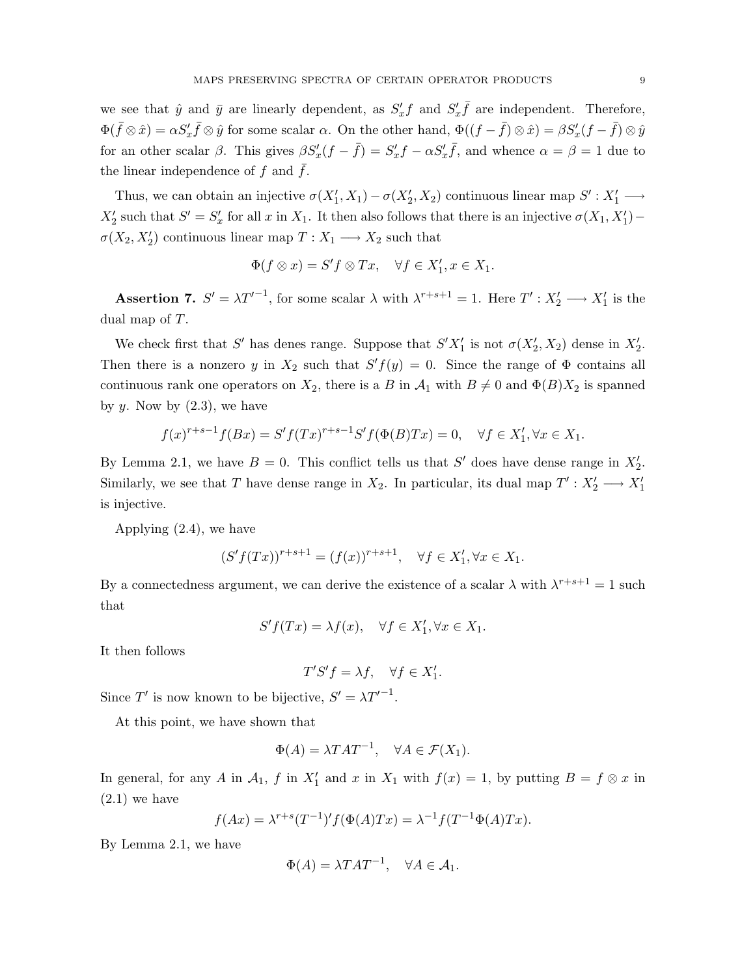we see that  $\hat{y}$  and  $\bar{y}$  are linearly dependent, as  $S'_x f$  and  $S'_x \bar{f}$  are independent. Therefore,  $\Phi(\bar{f}\otimes\hat{x}) = \alpha S'_x \bar{f} \otimes \hat{y}$  for some scalar  $\alpha$ . On the other hand,  $\Phi((f - \bar{f}) \otimes \hat{x}) = \beta S'_x (f - \bar{f}) \otimes \hat{y}$ for an other scalar  $\beta$ . This gives  $\beta S'_x(f - \bar{f}) = S'_x f - \alpha S'_x \bar{f}$ , and whence  $\alpha = \beta = 1$  due to the linear independence of  $f$  and  $f$ .

Thus, we can obtain an injective  $\sigma(X'_1, X_1) - \sigma(X'_2, X_2)$  continuous linear map  $S' : X'_1 \longrightarrow$  $X_2'$  such that  $S' = S'_x$  for all x in  $X_1$ . It then also follows that there is an injective  $\sigma(X_1, X_1')$  –  $\sigma(X_2, X_2')$  continuous linear map  $T: X_1 \longrightarrow X_2$  such that

$$
\Phi(f \otimes x) = S'f \otimes Tx, \quad \forall f \in X'_1, x \in X_1.
$$

**Assertion 7.**  $S' = \lambda T'^{-1}$ , for some scalar  $\lambda$  with  $\lambda^{r+s+1} = 1$ . Here  $T' : X'_2 \longrightarrow X'_1$  is the dual map of T.

We check first that S' has denes range. Suppose that  $S'X'_1$  is not  $\sigma(X'_2, X_2)$  dense in  $X'_2$ . Then there is a nonzero y in  $X_2$  such that  $S'f(y) = 0$ . Since the range of  $\Phi$  contains all continuous rank one operators on  $X_2$ , there is a B in  $\mathcal{A}_1$  with  $B \neq 0$  and  $\Phi(B)X_2$  is spanned by  $y$ . Now by  $(2.3)$ , we have

$$
f(x)^{r+s-1}f(Bx) = S'f(Tx)^{r+s-1}S'f(\Phi(B)Tx) = 0, \quad \forall f \in X'_1, \forall x \in X_1.
$$

By Lemma 2.1, we have  $B = 0$ . This conflict tells us that S' does have dense range in  $X'_2$ . Similarly, we see that T have dense range in  $X_2$ . In particular, its dual map  $T' : X'_2 \longrightarrow X'_1$ is injective.

Applying (2.4), we have

$$
(S'f(Tx))^{r+s+1} = (f(x))^{r+s+1}, \quad \forall f \in X'_1, \forall x \in X_1.
$$

By a connectedness argument, we can derive the existence of a scalar  $\lambda$  with  $\lambda^{r+s+1} = 1$  such that

$$
S'f(Tx) = \lambda f(x), \quad \forall f \in X'_1, \forall x \in X_1.
$$

It then follows

$$
T'S'f=\lambda f,\quad \forall f\in X'_1.
$$

Since T' is now known to be bijective,  $S' = \lambda T'^{-1}$ .

At this point, we have shown that

$$
\Phi(A) = \lambda T A T^{-1}, \quad \forall A \in \mathcal{F}(X_1).
$$

In general, for any A in  $\mathcal{A}_1$ , f in  $X'_1$  and x in  $X_1$  with  $f(x) = 1$ , by putting  $B = f \otimes x$  in  $(2.1)$  we have

$$
f(Ax) = \lambda^{r+s} (T^{-1})' f(\Phi(A)Tx) = \lambda^{-1} f(T^{-1} \Phi(A)Tx).
$$

By Lemma 2.1, we have

$$
\Phi(A) = \lambda T A T^{-1}, \quad \forall A \in \mathcal{A}_1.
$$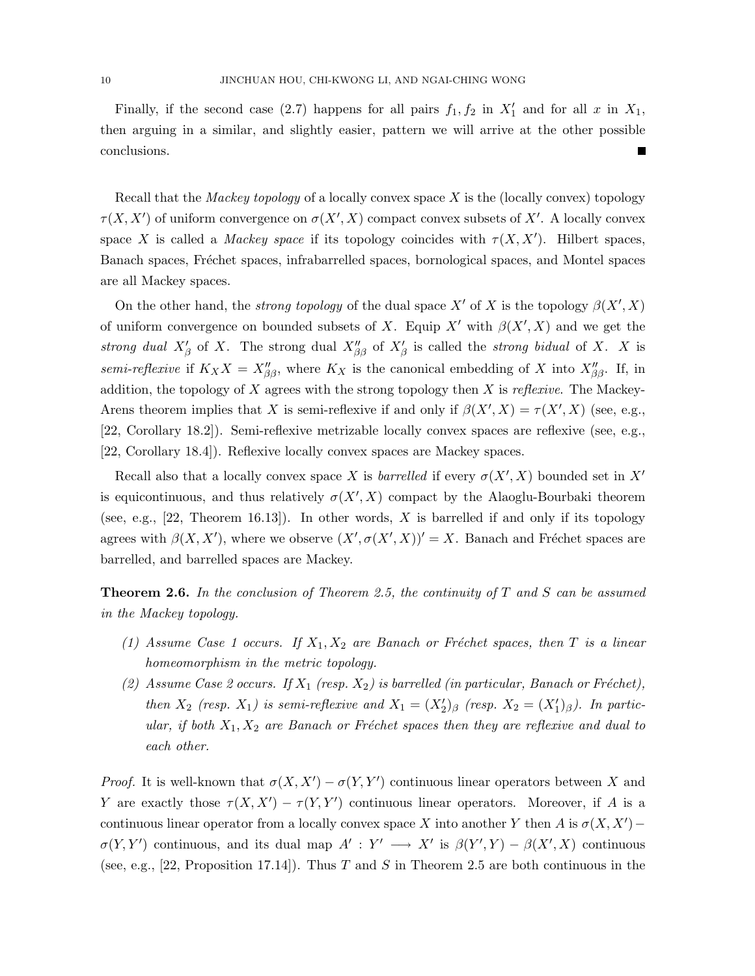Finally, if the second case (2.7) happens for all pairs  $f_1, f_2$  in  $X'_1$  and for all x in  $X_1$ , then arguing in a similar, and slightly easier, pattern we will arrive at the other possible conclusions.

Recall that the *Mackey topology* of a locally convex space  $X$  is the (locally convex) topology  $\tau(X, X')$  of uniform convergence on  $\sigma(X', X)$  compact convex subsets of X'. A locally convex space X is called a *Mackey space* if its topology coincides with  $\tau(X, X')$ . Hilbert spaces, Banach spaces, Fréchet spaces, infrabarrelled spaces, bornological spaces, and Montel spaces are all Mackey spaces.

On the other hand, the *strong topology* of the dual space X' of X is the topology  $\beta(X', X)$ of uniform convergence on bounded subsets of X. Equip X' with  $\beta(X', X)$  and we get the strong dual  $X'_{\beta}$  of X. The strong dual  $X''_{\beta\beta}$  of  $X'_{\beta}$  is called the strong bidual of X. X is semi-reflexive if  $K_X X = X''_{\beta\beta}$ , where  $K_X$  is the canonical embedding of X into  $X''_{\beta\beta}$ . If, in addition, the topology of X agrees with the strong topology then X is reflexive. The Mackey-Arens theorem implies that X is semi-reflexive if and only if  $\beta(X', X) = \tau(X', X)$  (see, e.g., [22, Corollary 18.2]). Semi-reflexive metrizable locally convex spaces are reflexive (see, e.g., [22, Corollary 18.4]). Reflexive locally convex spaces are Mackey spaces.

Recall also that a locally convex space X is *barrelled* if every  $\sigma(X', X)$  bounded set in X' is equicontinuous, and thus relatively  $\sigma(X', X)$  compact by the Alaoglu-Bourbaki theorem (see, e.g.,  $[22,$  Theorem 16.13]). In other words, X is barrelled if and only if its topology agrees with  $\beta(X, X')$ , where we observe  $(X', \sigma(X', X))' = X$ . Banach and Fréchet spaces are barrelled, and barrelled spaces are Mackey.

**Theorem 2.6.** In the conclusion of Theorem 2.5, the continuity of  $T$  and  $S$  can be assumed in the Mackey topology.

- (1) Assume Case 1 occurs. If  $X_1, X_2$  are Banach or Fréchet spaces, then T is a linear homeomorphism in the metric topology.
- (2) Assume Case 2 occurs. If  $X_1$  (resp.  $X_2$ ) is barrelled (in particular, Banach or Fréchet), then  $X_2$  (resp.  $X_1$ ) is semi-reflexive and  $X_1 = (X_2')_{\beta}$  (resp.  $X_2 = (X_1')_{\beta}$ ). In particular, if both  $X_1, X_2$  are Banach or Fréchet spaces then they are reflexive and dual to each other.

*Proof.* It is well-known that  $\sigma(X, X') - \sigma(Y, Y')$  continuous linear operators between X and Y are exactly those  $\tau(X, X') - \tau(Y, Y')$  continuous linear operators. Moreover, if A is a continuous linear operator from a locally convex space X into another Y then A is  $\sigma(X, X')$  –  $\sigma(Y, Y')$  continuous, and its dual map  $A': Y' \longrightarrow X'$  is  $\beta(Y', Y) - \beta(X', X)$  continuous (see, e.g., [22, Proposition 17.14]). Thus T and S in Theorem 2.5 are both continuous in the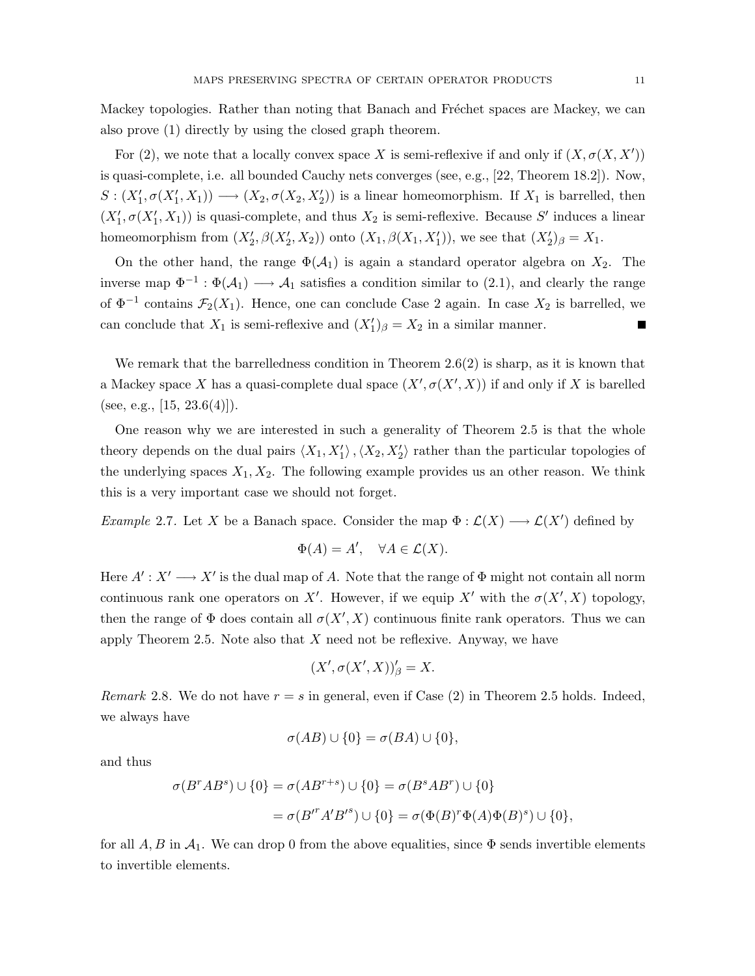Mackey topologies. Rather than noting that Banach and Fréchet spaces are Mackey, we can also prove (1) directly by using the closed graph theorem.

For (2), we note that a locally convex space X is semi-reflexive if and only if  $(X, \sigma(X, X'))$ is quasi-complete, i.e. all bounded Cauchy nets converges (see, e.g., [22, Theorem 18.2]). Now,  $S: (X'_1, \sigma(X'_1, X_1)) \longrightarrow (X_2, \sigma(X_2, X'_2))$  is a linear homeomorphism. If  $X_1$  is barrelled, then  $(X'_1, \sigma(X'_1, X_1))$  is quasi-complete, and thus  $X_2$  is semi-reflexive. Because S' induces a linear homeomorphism from  $(X'_2, \beta(X'_2, X_2))$  onto  $(X_1, \beta(X_1, X'_1))$ , we see that  $(X'_2)_{\beta} = X_1$ .

On the other hand, the range  $\Phi(\mathcal{A}_1)$  is again a standard operator algebra on  $X_2$ . The inverse map  $\Phi^{-1} : \Phi(\mathcal{A}_1) \longrightarrow \mathcal{A}_1$  satisfies a condition similar to (2.1), and clearly the range of  $\Phi^{-1}$  contains  $\mathcal{F}_2(X_1)$ . Hence, one can conclude Case 2 again. In case  $X_2$  is barrelled, we can conclude that  $X_1$  is semi-reflexive and  $(X'_1)_{\beta} = X_2$  in a similar manner.

We remark that the barrelledness condition in Theorem  $2.6(2)$  is sharp, as it is known that a Mackey space X has a quasi-complete dual space  $(X', \sigma(X', X))$  if and only if X is barelled (see, e.g.,  $[15, 23.6(4)]$ ).

One reason why we are interested in such a generality of Theorem 2.5 is that the whole theory depends on the dual pairs  $\langle X_1, X'_1 \rangle$ ,  $\langle X_2, X'_2 \rangle$  rather than the particular topologies of the underlying spaces  $X_1, X_2$ . The following example provides us an other reason. We think this is a very important case we should not forget.

Example 2.7. Let X be a Banach space. Consider the map  $\Phi : \mathcal{L}(X) \longrightarrow \mathcal{L}(X')$  defined by

$$
\Phi(A) = A', \quad \forall A \in \mathcal{L}(X).
$$

Here  $A' : X' \longrightarrow X'$  is the dual map of A. Note that the range of  $\Phi$  might not contain all norm continuous rank one operators on X'. However, if we equip X' with the  $\sigma(X', X)$  topology, then the range of  $\Phi$  does contain all  $\sigma(X', X)$  continuous finite rank operators. Thus we can apply Theorem 2.5. Note also that  $X$  need not be reflexive. Anyway, we have

$$
(X', \sigma(X', X))'_{\beta} = X.
$$

*Remark* 2.8. We do not have  $r = s$  in general, even if Case (2) in Theorem 2.5 holds. Indeed, we always have

$$
\sigma(AB) \cup \{0\} = \sigma(BA) \cup \{0\},\
$$

and thus

$$
\sigma(B^rAB^s) \cup \{0\} = \sigma(AB^{r+s}) \cup \{0\} = \sigma(B^sAB^r) \cup \{0\}
$$

$$
= \sigma(B'^rA'B'^s) \cup \{0\} = \sigma(\Phi(B)^r\Phi(A)\Phi(B)^s) \cup \{0\},
$$

for all A, B in  $\mathcal{A}_1$ . We can drop 0 from the above equalities, since  $\Phi$  sends invertible elements to invertible elements.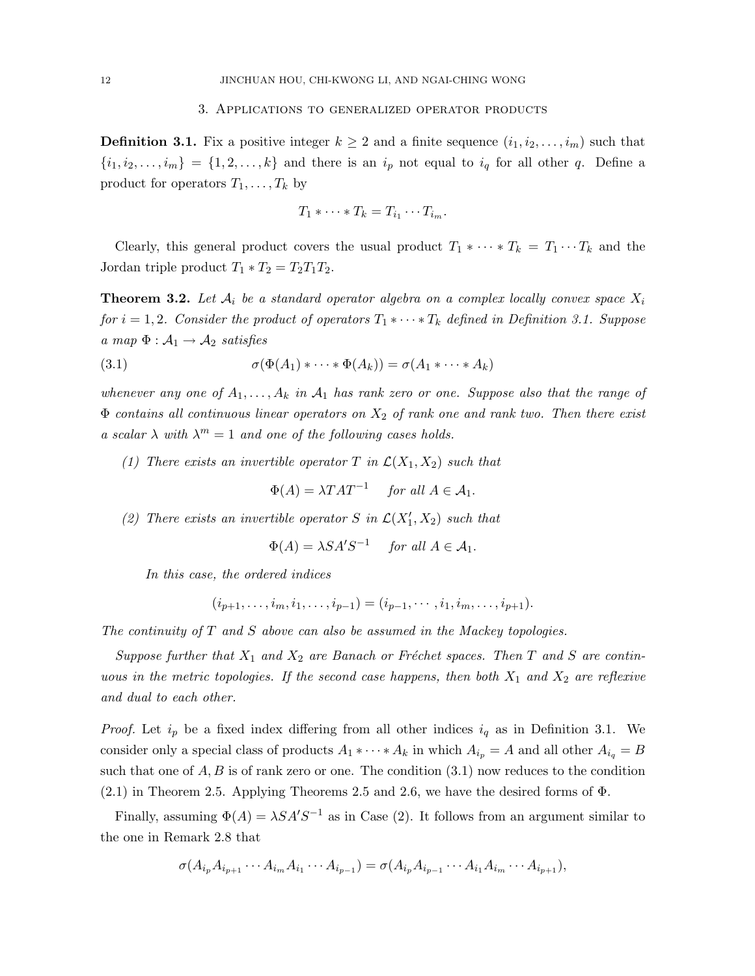**Definition 3.1.** Fix a positive integer  $k \geq 2$  and a finite sequence  $(i_1, i_2, \ldots, i_m)$  such that  ${i_1, i_2, \ldots, i_m} = {1, 2, \ldots, k}$  and there is an  $i_p$  not equal to  $i_q$  for all other q. Define a product for operators  $T_1, \ldots, T_k$  by

$$
T_1 * \cdots * T_k = T_{i_1} \cdots T_{i_m}.
$$

Clearly, this general product covers the usual product  $T_1 * \cdots * T_k = T_1 \cdots T_k$  and the Jordan triple product  $T_1 * T_2 = T_2 T_1 T_2$ .

**Theorem 3.2.** Let  $A_i$  be a standard operator algebra on a complex locally convex space  $X_i$ for  $i = 1, 2$ . Consider the product of operators  $T_1 * \cdots * T_k$  defined in Definition 3.1. Suppose a map  $\Phi : \mathcal{A}_1 \rightarrow \mathcal{A}_2$  satisfies

(3.1) 
$$
\sigma(\Phi(A_1)*\cdots*\Phi(A_k))=\sigma(A_1*\cdots*A_k)
$$

whenever any one of  $A_1, \ldots, A_k$  in  $A_1$  has rank zero or one. Suppose also that the range of  $\Phi$  contains all continuous linear operators on  $X_2$  of rank one and rank two. Then there exist a scalar  $\lambda$  with  $\lambda^m = 1$  and one of the following cases holds.

(1) There exists an invertible operator T in  $\mathcal{L}(X_1, X_2)$  such that

$$
\Phi(A) = \lambda T A T^{-1} \quad \text{for all } A \in \mathcal{A}_1.
$$

(2) There exists an invertible operator S in  $\mathcal{L}(X'_1, X_2)$  such that

$$
\Phi(A) = \lambda S A' S^{-1} \quad \text{for all } A \in \mathcal{A}_1.
$$

In this case, the ordered indices

$$
(i_{p+1},\ldots,i_m,i_1,\ldots,i_{p-1})=(i_{p-1},\cdots,i_1,i_m,\ldots,i_{p+1}).
$$

The continuity of  $T$  and  $S$  above can also be assumed in the Mackey topologies.

Suppose further that  $X_1$  and  $X_2$  are Banach or Fréchet spaces. Then T and S are continuous in the metric topologies. If the second case happens, then both  $X_1$  and  $X_2$  are reflexive and dual to each other.

*Proof.* Let  $i_p$  be a fixed index differing from all other indices  $i_q$  as in Definition 3.1. We consider only a special class of products  $A_1 * \cdots * A_k$  in which  $A_{i_p} = A$  and all other  $A_{i_q} = B$ such that one of  $A, B$  is of rank zero or one. The condition  $(3.1)$  now reduces to the condition  $(2.1)$  in Theorem 2.5. Applying Theorems 2.5 and 2.6, we have the desired forms of  $\Phi$ .

Finally, assuming  $\Phi(A) = \lambda S A' S^{-1}$  as in Case (2). It follows from an argument similar to the one in Remark 2.8 that

$$
\sigma(A_{i_p}A_{i_{p+1}}\cdots A_{i_m}A_{i_1}\cdots A_{i_{p-1}})=\sigma(A_{i_p}A_{i_{p-1}}\cdots A_{i_1}A_{i_m}\cdots A_{i_{p+1}}),
$$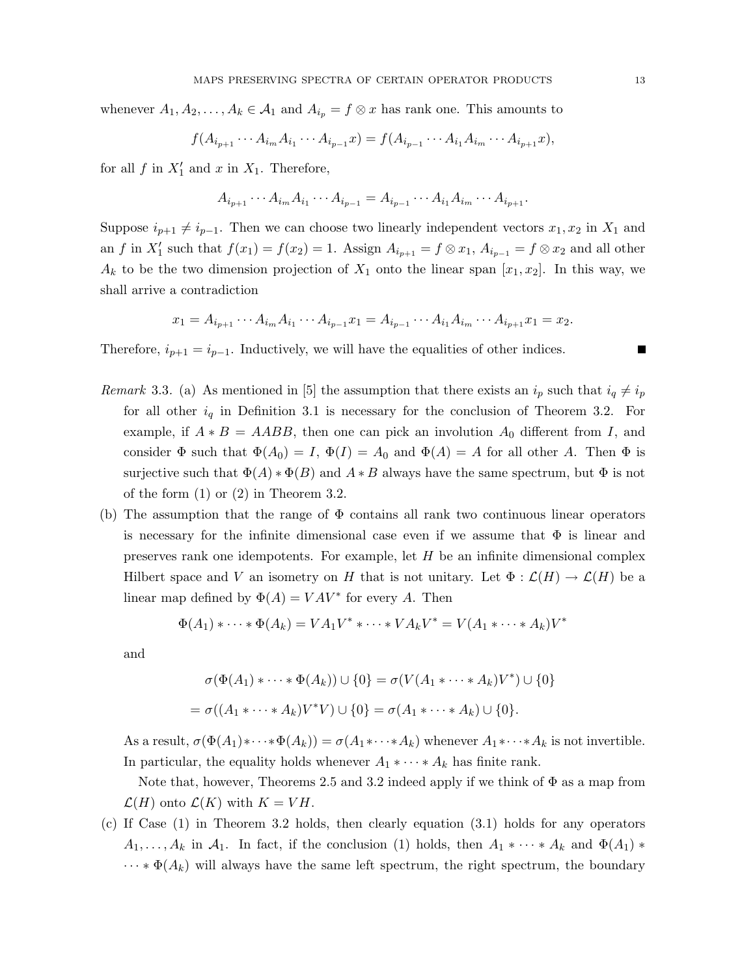whenever  $A_1, A_2, \ldots, A_k \in \mathcal{A}_1$  and  $A_{i_p} = f \otimes x$  has rank one. This amounts to

$$
f(A_{i_{p+1}}\cdots A_{i_m}A_{i_1}\cdots A_{i_{p-1}}x) = f(A_{i_{p-1}}\cdots A_{i_1}A_{i_m}\cdots A_{i_{p+1}}x),
$$

for all  $f$  in  $X'_1$  and  $x$  in  $X_1$ . Therefore,

$$
A_{i_{p+1}} \cdots A_{i_m} A_{i_1} \cdots A_{i_{p-1}} = A_{i_{p-1}} \cdots A_{i_1} A_{i_m} \cdots A_{i_{p+1}}.
$$

Suppose  $i_{p+1} \neq i_{p-1}$ . Then we can choose two linearly independent vectors  $x_1, x_2$  in  $X_1$  and an f in  $X'_1$  such that  $f(x_1) = f(x_2) = 1$ . Assign  $A_{i_{p+1}} = f \otimes x_1$ ,  $A_{i_{p-1}} = f \otimes x_2$  and all other  $A_k$  to be the two dimension projection of  $X_1$  onto the linear span  $[x_1, x_2]$ . In this way, we shall arrive a contradiction

$$
x_1 = A_{i_{p+1}} \cdots A_{i_m} A_{i_1} \cdots A_{i_{p-1}} x_1 = A_{i_{p-1}} \cdots A_{i_1} A_{i_m} \cdots A_{i_{p+1}} x_1 = x_2.
$$

Therefore,  $i_{p+1} = i_{p-1}$ . Inductively, we will have the equalities of other indices.

- Remark 3.3. (a) As mentioned in [5] the assumption that there exists an  $i_p$  such that  $i_q \neq i_p$ for all other  $i_q$  in Definition 3.1 is necessary for the conclusion of Theorem 3.2. For example, if  $A * B = AABB$ , then one can pick an involution  $A_0$  different from I, and consider  $\Phi$  such that  $\Phi(A_0) = I$ ,  $\Phi(I) = A_0$  and  $\Phi(A) = A$  for all other A. Then  $\Phi$  is surjective such that  $\Phi(A) * \Phi(B)$  and  $A * B$  always have the same spectrum, but  $\Phi$  is not of the form  $(1)$  or  $(2)$  in Theorem 3.2.
- (b) The assumption that the range of  $\Phi$  contains all rank two continuous linear operators is necessary for the infinite dimensional case even if we assume that  $\Phi$  is linear and preserves rank one idempotents. For example, let H be an infinite dimensional complex Hilbert space and V an isometry on H that is not unitary. Let  $\Phi : \mathcal{L}(H) \to \mathcal{L}(H)$  be a linear map defined by  $\Phi(A) = VAV^*$  for every A. Then

$$
\Phi(A_1) * \cdots * \Phi(A_k) = VA_1V^* * \cdots * VA_kV^* = V(A_1 * \cdots * A_k)V^*
$$

and

$$
\sigma(\Phi(A_1) * \cdots * \Phi(A_k)) \cup \{0\} = \sigma(V(A_1 * \cdots * A_k)V^*) \cup \{0\}
$$
  
= 
$$
\sigma((A_1 * \cdots * A_k)V^*V) \cup \{0\} = \sigma(A_1 * \cdots * A_k) \cup \{0\}.
$$

As a result,  $\sigma(\Phi(A_1)*\cdots*\Phi(A_k)) = \sigma(A_1* \cdots* A_k)$  whenever  $A_1 * \cdots* A_k$  is not invertible. In particular, the equality holds whenever  $A_1 * \cdots * A_k$  has finite rank.

Note that, however, Theorems 2.5 and 3.2 indeed apply if we think of  $\Phi$  as a map from  $\mathcal{L}(H)$  onto  $\mathcal{L}(K)$  with  $K = VH$ .

(c) If Case (1) in Theorem 3.2 holds, then clearly equation (3.1) holds for any operators  $A_1, \ldots, A_k$  in  $A_1$ . In fact, if the conclusion (1) holds, then  $A_1 * \cdots * A_k$  and  $\Phi(A_1) *$  $\cdots * \Phi(A_k)$  will always have the same left spectrum, the right spectrum, the boundary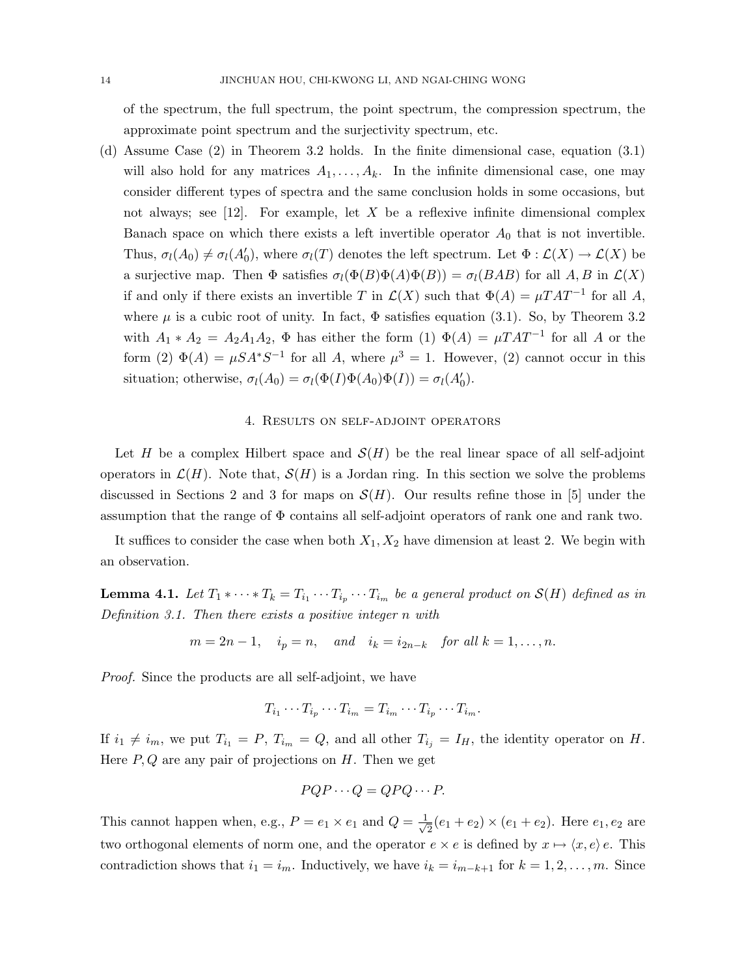of the spectrum, the full spectrum, the point spectrum, the compression spectrum, the approximate point spectrum and the surjectivity spectrum, etc.

(d) Assume Case (2) in Theorem 3.2 holds. In the finite dimensional case, equation (3.1) will also hold for any matrices  $A_1, \ldots, A_k$ . In the infinite dimensional case, one may consider different types of spectra and the same conclusion holds in some occasions, but not always; see [12]. For example, let  $X$  be a reflexive infinite dimensional complex Banach space on which there exists a left invertible operator  $A_0$  that is not invertible. Thus,  $\sigma_l(A_0) \neq \sigma_l(A'_0)$ , where  $\sigma_l(T)$  denotes the left spectrum. Let  $\Phi : \mathcal{L}(X) \to \mathcal{L}(X)$  be a surjective map. Then  $\Phi$  satisfies  $\sigma_l(\Phi(B)\Phi(A)\Phi(B)) = \sigma_l(BAB)$  for all A, B in  $\mathcal{L}(X)$ if and only if there exists an invertible T in  $\mathcal{L}(X)$  such that  $\Phi(A) = \mu T A T^{-1}$  for all A, where  $\mu$  is a cubic root of unity. In fact,  $\Phi$  satisfies equation (3.1). So, by Theorem 3.2 with  $A_1 * A_2 = A_2 A_1 A_2$ ,  $\Phi$  has either the form (1)  $\Phi(A) = \mu T A T^{-1}$  for all A or the form (2)  $\Phi(A) = \mu S A^* S^{-1}$  for all A, where  $\mu^3 = 1$ . However, (2) cannot occur in this situation; otherwise,  $\sigma_l(A_0) = \sigma_l(\Phi(I)\Phi(A_0)\Phi(I)) = \sigma_l(A'_0)$ .

#### 4. Results on self-adjoint operators

Let H be a complex Hilbert space and  $\mathcal{S}(H)$  be the real linear space of all self-adjoint operators in  $\mathcal{L}(H)$ . Note that,  $\mathcal{S}(H)$  is a Jordan ring. In this section we solve the problems discussed in Sections 2 and 3 for maps on  $\mathcal{S}(H)$ . Our results refine those in [5] under the assumption that the range of  $\Phi$  contains all self-adjoint operators of rank one and rank two.

It suffices to consider the case when both  $X_1, X_2$  have dimension at least 2. We begin with an observation.

**Lemma 4.1.** Let  $T_1 * \cdots * T_k = T_{i_1} \cdots T_{i_p} \cdots T_{i_m}$  be a general product on  $\mathcal{S}(H)$  defined as in Definition 3.1. Then there exists a positive integer n with

$$
m = 2n - 1, \quad i_p = n, \quad and \quad i_k = i_{2n-k} \quad \text{for all } k = 1, \dots, n.
$$

Proof. Since the products are all self-adjoint, we have

$$
T_{i_1}\cdots T_{i_p}\cdots T_{i_m}=T_{i_m}\cdots T_{i_p}\cdots T_{i_m}.
$$

If  $i_1 \neq i_m$ , we put  $T_{i_1} = P$ ,  $T_{i_m} = Q$ , and all other  $T_{i_j} = I_H$ , the identity operator on H. Here  $P, Q$  are any pair of projections on  $H$ . Then we get

$$
PQP \cdots Q = QPQ \cdots P.
$$

This cannot happen when, e.g.,  $P = e_1 \times e_1$  and  $Q = \frac{1}{\sqrt{2}}$  $\frac{1}{2}(e_1 + e_2) \times (e_1 + e_2)$ . Here  $e_1, e_2$  are two orthogonal elements of norm one, and the operator  $e \times e$  is defined by  $x \mapsto \langle x, e \rangle e$ . This contradiction shows that  $i_1 = i_m$ . Inductively, we have  $i_k = i_{m-k+1}$  for  $k = 1, 2, \ldots, m$ . Since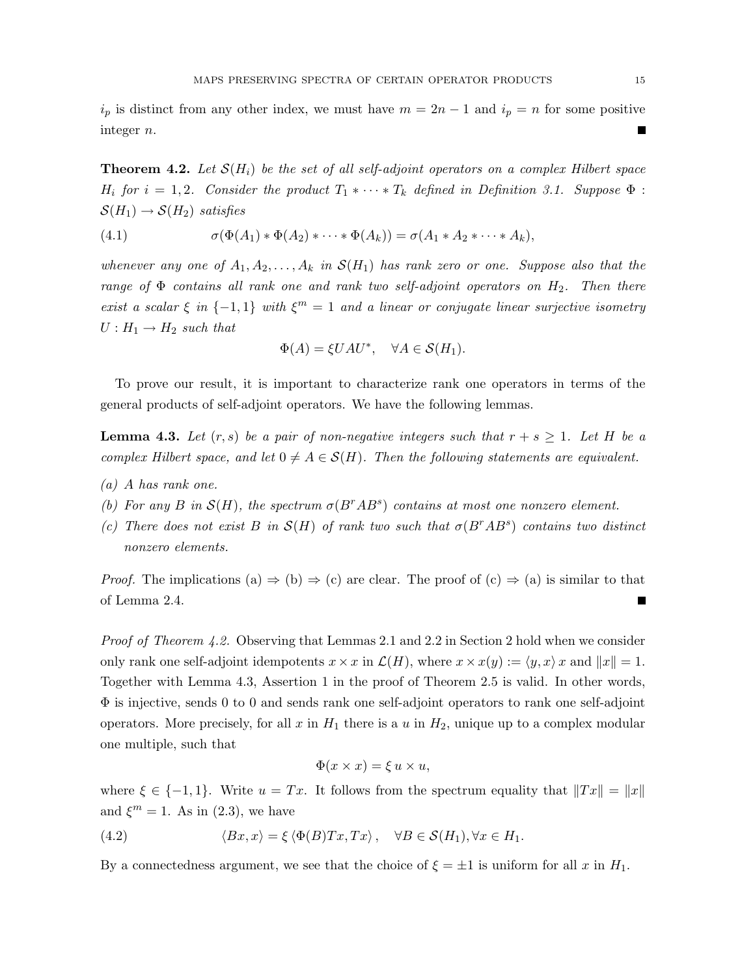$i_p$  is distinct from any other index, we must have  $m = 2n - 1$  and  $i_p = n$  for some positive integer n.  $\blacksquare$ 

**Theorem 4.2.** Let  $S(H_i)$  be the set of all self-adjoint operators on a complex Hilbert space  $H_i$  for  $i = 1, 2$ . Consider the product  $T_1 * \cdots * T_k$  defined in Definition 3.1. Suppose  $\Phi$ :  $\mathcal{S}(H_1) \rightarrow \mathcal{S}(H_2)$  satisfies

(4.1) 
$$
\sigma(\Phi(A_1) * \Phi(A_2) * \cdots * \Phi(A_k)) = \sigma(A_1 * A_2 * \cdots * A_k),
$$

whenever any one of  $A_1, A_2, \ldots, A_k$  in  $\mathcal{S}(H_1)$  has rank zero or one. Suppose also that the range of  $\Phi$  contains all rank one and rank two self-adjoint operators on  $H_2$ . Then there exist a scalar  $\xi$  in  $\{-1,1\}$  with  $\xi^m = 1$  and a linear or conjugate linear surjective isometry  $U: H_1 \rightarrow H_2$  such that

$$
\Phi(A) = \xi U A U^*, \quad \forall A \in \mathcal{S}(H_1).
$$

To prove our result, it is important to characterize rank one operators in terms of the general products of self-adjoint operators. We have the following lemmas.

**Lemma 4.3.** Let  $(r, s)$  be a pair of non-negative integers such that  $r + s \geq 1$ . Let H be a complex Hilbert space, and let  $0 \neq A \in \mathcal{S}(H)$ . Then the following statements are equivalent.

- (a) A has rank one.
- (b) For any B in  $\mathcal{S}(H)$ , the spectrum  $\sigma(B^rAB^s)$  contains at most one nonzero element.
- (c) There does not exist B in  $\mathcal{S}(H)$  of rank two such that  $\sigma(B^rAB^s)$  contains two distinct nonzero elements.

*Proof.* The implications (a)  $\Rightarrow$  (b)  $\Rightarrow$  (c) are clear. The proof of (c)  $\Rightarrow$  (a) is similar to that of Lemma 2.4. П

Proof of Theorem 4.2. Observing that Lemmas 2.1 and 2.2 in Section 2 hold when we consider only rank one self-adjoint idempotents  $x \times x$  in  $\mathcal{L}(H)$ , where  $x \times x(y) := \langle y, x \rangle x$  and  $||x|| = 1$ . Together with Lemma 4.3, Assertion 1 in the proof of Theorem 2.5 is valid. In other words, Φ is injective, sends 0 to 0 and sends rank one self-adjoint operators to rank one self-adjoint operators. More precisely, for all x in  $H_1$  there is a u in  $H_2$ , unique up to a complex modular one multiple, such that

$$
\Phi(x \times x) = \xi u \times u,
$$

where  $\xi \in \{-1,1\}$ . Write  $u = Tx$ . It follows from the spectrum equality that  $||Tx|| = ||x||$ and  $\xi^m = 1$ . As in (2.3), we have

(4.2) 
$$
\langle Bx, x \rangle = \xi \langle \Phi(B)Tx, Tx \rangle, \quad \forall B \in \mathcal{S}(H_1), \forall x \in H_1.
$$

By a connectedness argument, we see that the choice of  $\xi = \pm 1$  is uniform for all x in  $H_1$ .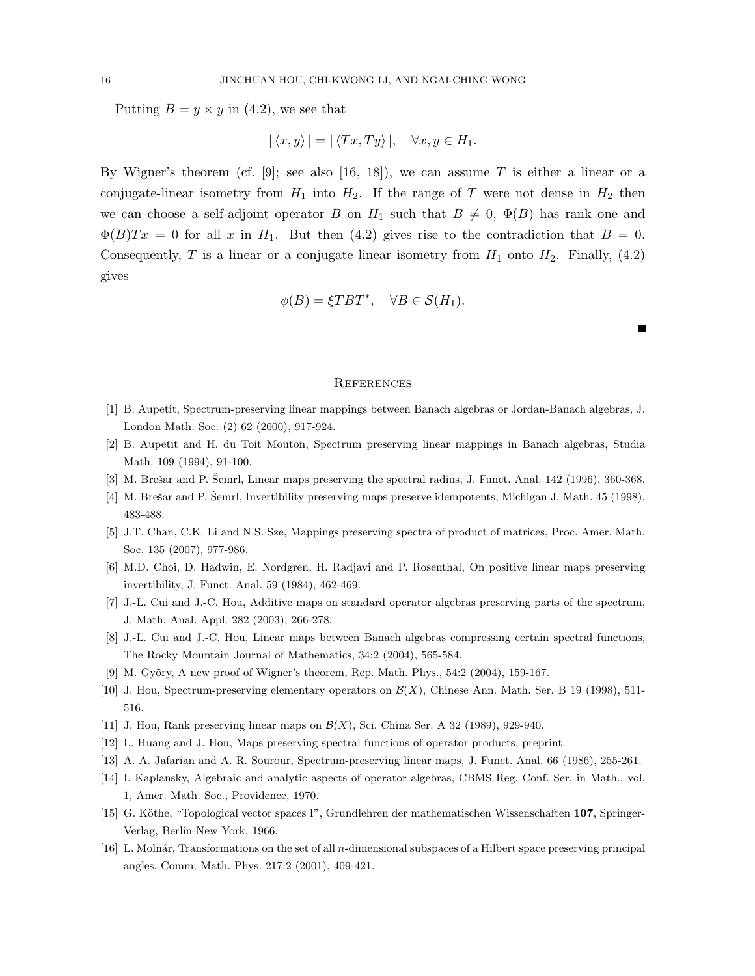Putting  $B = y \times y$  in (4.2), we see that

$$
|\langle x, y \rangle| = |\langle Tx, Ty \rangle|, \quad \forall x, y \in H_1.
$$

By Wigner's theorem (cf. [9]; see also [16, 18]), we can assume T is either a linear or a conjugate-linear isometry from  $H_1$  into  $H_2$ . If the range of T were not dense in  $H_2$  then we can choose a self-adjoint operator B on  $H_1$  such that  $B \neq 0$ ,  $\Phi(B)$  has rank one and  $\Phi(B)Tx = 0$  for all x in  $H_1$ . But then (4.2) gives rise to the contradiction that  $B = 0$ . Consequently, T is a linear or a conjugate linear isometry from  $H_1$  onto  $H_2$ . Finally, (4.2) gives

$$
\phi(B) = \xi T B T^*, \quad \forall B \in \mathcal{S}(H_1).
$$

#### **REFERENCES**

- [1] B. Aupetit, Spectrum-preserving linear mappings between Banach algebras or Jordan-Banach algebras, J. London Math. Soc. (2) 62 (2000), 917-924.
- [2] B. Aupetit and H. du Toit Mouton, Spectrum preserving linear mappings in Banach algebras, Studia Math. 109 (1994), 91-100.
- [3] M. Brešar and P. Šemrl, Linear maps preserving the spectral radius, J. Funct. Anal. 142 (1996), 360-368.
- [4] M. Brešar and P. Šemrl, Invertibility preserving maps preserve idempotents, Michigan J. Math. 45 (1998), 483-488.
- [5] J.T. Chan, C.K. Li and N.S. Sze, Mappings preserving spectra of product of matrices, Proc. Amer. Math. Soc. 135 (2007), 977-986.
- [6] M.D. Choi, D. Hadwin, E. Nordgren, H. Radjavi and P. Rosenthal, On positive linear maps preserving invertibility, J. Funct. Anal. 59 (1984), 462-469.
- [7] J.-L. Cui and J.-C. Hou, Additive maps on standard operator algebras preserving parts of the spectrum, J. Math. Anal. Appl. 282 (2003), 266-278.
- [8] J.-L. Cui and J.-C. Hou, Linear maps between Banach algebras compressing certain spectral functions, The Rocky Mountain Journal of Mathematics, 34:2 (2004), 565-584.
- [9] M. Gyõry, A new proof of Wigner's theorem, Rep. Math. Phys., 54:2 (2004), 159-167.
- [10] J. Hou, Spectrum-preserving elementary operators on  $\mathcal{B}(X)$ , Chinese Ann. Math. Ser. B 19 (1998), 511-516.
- [11] J. Hou, Rank preserving linear maps on  $\mathcal{B}(X)$ , Sci. China Ser. A 32 (1989), 929-940.
- [12] L. Huang and J. Hou, Maps preserving spectral functions of operator products, preprint.
- [13] A. A. Jafarian and A. R. Sourour, Spectrum-preserving linear maps, J. Funct. Anal. 66 (1986), 255-261.
- [14] I. Kaplansky, Algebraic and analytic aspects of operator algebras, CBMS Reg. Conf. Ser. in Math., vol. 1, Amer. Math. Soc., Providence, 1970.
- [15] G. Köthe, "Topological vector spaces I", Grundlehren der mathematischen Wissenschaften 107, Springer-Verlag, Berlin-New York, 1966.
- [16] L. Molnár, Transformations on the set of all n-dimensional subspaces of a Hilbert space preserving principal angles, Comm. Math. Phys. 217:2 (2001), 409-421.